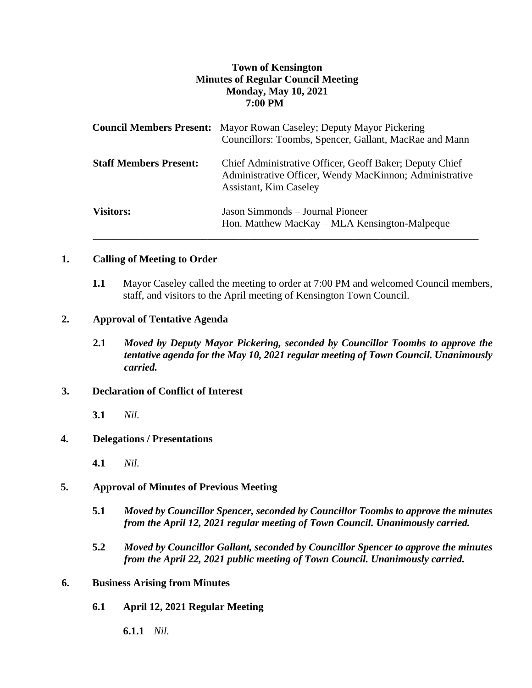# **Town of Kensington Minutes of Regular Council Meeting Monday, May 10, 2021 7:00 PM**

|                               | <b>Council Members Present:</b> Mayor Rowan Caseley; Deputy Mayor Pickering<br>Councillors: Toombs, Spencer, Gallant, MacRae and Mann               |
|-------------------------------|-----------------------------------------------------------------------------------------------------------------------------------------------------|
| <b>Staff Members Present:</b> | Chief Administrative Officer, Geoff Baker; Deputy Chief<br>Administrative Officer, Wendy MacKinnon; Administrative<br><b>Assistant, Kim Caseley</b> |
| <b>Visitors:</b>              | Jason Simmonds – Journal Pioneer<br>Hon. Matthew MacKay – MLA Kensington-Malpeque                                                                   |

### **1. Calling of Meeting to Order**

**1.1** Mayor Caseley called the meeting to order at 7:00 PM and welcomed Council members, staff, and visitors to the April meeting of Kensington Town Council.

### **2. Approval of Tentative Agenda**

**2.1** *Moved by Deputy Mayor Pickering, seconded by Councillor Toombs to approve the tentative agenda for the May 10, 2021 regular meeting of Town Council. Unanimously carried.*

### **3. Declaration of Conflict of Interest**

**3.1** *Nil.*

### **4. Delegations / Presentations**

**4.1** *Nil.*

# **5. Approval of Minutes of Previous Meeting**

- **5.1** *Moved by Councillor Spencer, seconded by Councillor Toombs to approve the minutes from the April 12, 2021 regular meeting of Town Council. Unanimously carried.*
- **5.2** *Moved by Councillor Gallant, seconded by Councillor Spencer to approve the minutes from the April 22, 2021 public meeting of Town Council. Unanimously carried.*

### **6. Business Arising from Minutes**

- **6.1 April 12, 2021 Regular Meeting** 
	- **6.1.1** *Nil.*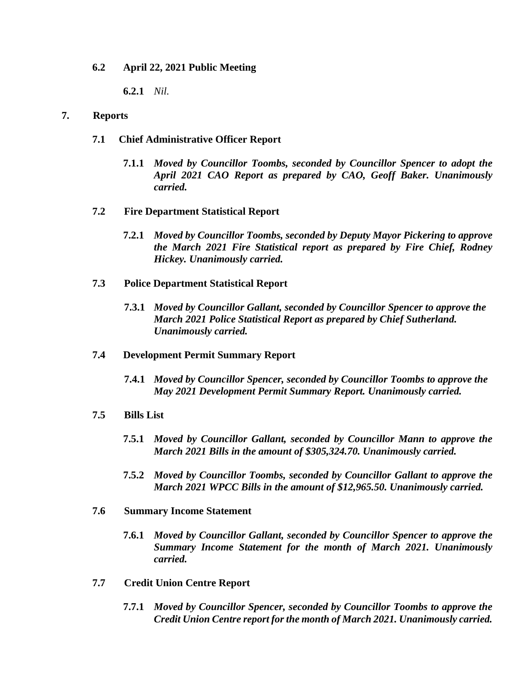**6.2 April 22, 2021 Public Meeting** 

**6.2.1** *Nil.*

### **7. Reports**

- **7.1 Chief Administrative Officer Report**
	- **7.1.1** *Moved by Councillor Toombs, seconded by Councillor Spencer to adopt the April 2021 CAO Report as prepared by CAO, Geoff Baker. Unanimously carried.*
- **7.2 Fire Department Statistical Report**
	- **7.2.1** *Moved by Councillor Toombs, seconded by Deputy Mayor Pickering to approve the March 2021 Fire Statistical report as prepared by Fire Chief, Rodney Hickey. Unanimously carried.*
- **7.3 Police Department Statistical Report**
	- **7.3.1** *Moved by Councillor Gallant, seconded by Councillor Spencer to approve the March 2021 Police Statistical Report as prepared by Chief Sutherland. Unanimously carried.*
- **7.4 Development Permit Summary Report**
	- **7.4.1** *Moved by Councillor Spencer, seconded by Councillor Toombs to approve the May 2021 Development Permit Summary Report. Unanimously carried.*
- **7.5 Bills List** 
	- **7.5.1** *Moved by Councillor Gallant, seconded by Councillor Mann to approve the March 2021 Bills in the amount of \$305,324.70. Unanimously carried.*
	- **7.5.2** *Moved by Councillor Toombs, seconded by Councillor Gallant to approve the March 2021 WPCC Bills in the amount of \$12,965.50. Unanimously carried.*
- **7.6 Summary Income Statement**
	- **7.6.1** *Moved by Councillor Gallant, seconded by Councillor Spencer to approve the Summary Income Statement for the month of March 2021. Unanimously carried.*
- **7.7 Credit Union Centre Report**
	- **7.7.1** *Moved by Councillor Spencer, seconded by Councillor Toombs to approve the Credit Union Centre report for the month of March 2021. Unanimously carried.*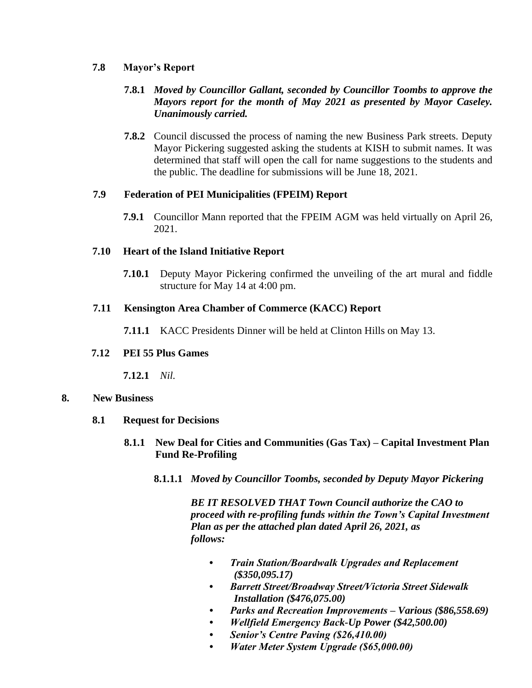## **7.8 Mayor's Report**

# **7.8.1** *Moved by Councillor Gallant, seconded by Councillor Toombs to approve the Mayors report for the month of May 2021 as presented by Mayor Caseley. Unanimously carried.*

**7.8.2** Council discussed the process of naming the new Business Park streets. Deputy Mayor Pickering suggested asking the students at KISH to submit names. It was determined that staff will open the call for name suggestions to the students and the public. The deadline for submissions will be June 18, 2021.

## **7.9 Federation of PEI Municipalities (FPEIM) Report**

**7.9.1** Councillor Mann reported that the FPEIM AGM was held virtually on April 26, 2021.

## **7.10 Heart of the Island Initiative Report**

**7.10.1** Deputy Mayor Pickering confirmed the unveiling of the art mural and fiddle structure for May 14 at 4:00 pm.

## **7.11 Kensington Area Chamber of Commerce (KACC) Report**

**7.11.1** KACC Presidents Dinner will be held at Clinton Hills on May 13.

# **7.12 PEI 55 Plus Games**

**7.12.1** *Nil.*

# **8. New Business**

- **8.1 Request for Decisions**
	- **8.1.1 New Deal for Cities and Communities (Gas Tax) – Capital Investment Plan Fund Re-Profiling**
		- **8.1.1.1** *Moved by Councillor Toombs, seconded by Deputy Mayor Pickering*

*BE IT RESOLVED THAT Town Council authorize the CAO to proceed with re-profiling funds within the Town's Capital Investment Plan as per the attached plan dated April 26, 2021, as follows:*

- *Train Station/Boardwalk Upgrades and Replacement (\$350,095.17)*
- *Barrett Street/Broadway Street/Victoria Street Sidewalk Installation (\$476,075.00)*
- *Parks and Recreation Improvements – Various (\$86,558.69)*
- *Wellfield Emergency Back-Up Power (\$42,500.00)*
- *Senior's Centre Paving (\$26,410.00)*
- *Water Meter System Upgrade (\$65,000.00)*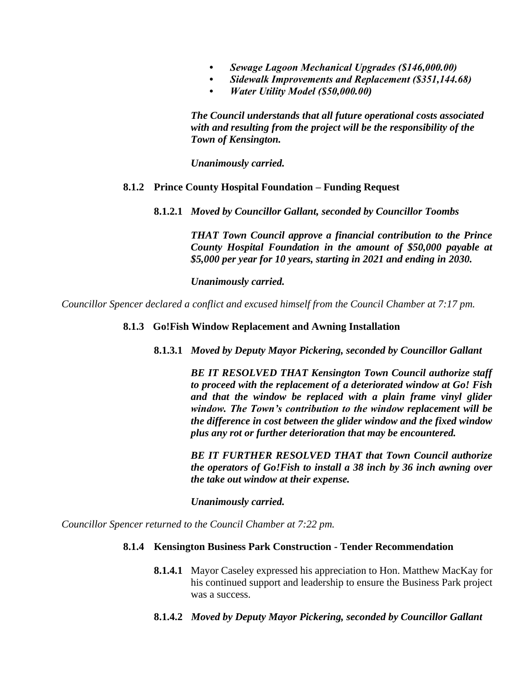- *Sewage Lagoon Mechanical Upgrades (\$146,000.00)*
- *Sidewalk Improvements and Replacement (\$351,144.68)*
- *Water Utility Model (\$50,000.00)*

*The Council understands that all future operational costs associated with and resulting from the project will be the responsibility of the Town of Kensington.*

*Unanimously carried.* 

#### **8.1.2 Prince County Hospital Foundation – Funding Request**

**8.1.2.1** *Moved by Councillor Gallant, seconded by Councillor Toombs*

*THAT Town Council approve a financial contribution to the Prince County Hospital Foundation in the amount of \$50,000 payable at \$5,000 per year for 10 years, starting in 2021 and ending in 2030.*

*Unanimously carried.*

*Councillor Spencer declared a conflict and excused himself from the Council Chamber at 7:17 pm.*

#### **8.1.3 Go!Fish Window Replacement and Awning Installation**

**8.1.3.1** *Moved by Deputy Mayor Pickering, seconded by Councillor Gallant*

*BE IT RESOLVED THAT Kensington Town Council authorize staff to proceed with the replacement of a deteriorated window at Go! Fish and that the window be replaced with a plain frame vinyl glider window. The Town's contribution to the window replacement will be the difference in cost between the glider window and the fixed window plus any rot or further deterioration that may be encountered.*

*BE IT FURTHER RESOLVED THAT that Town Council authorize the operators of Go!Fish to install a 38 inch by 36 inch awning over the take out window at their expense.*

*Unanimously carried.*

*Councillor Spencer returned to the Council Chamber at 7:22 pm.*

#### **8.1.4 Kensington Business Park Construction - Tender Recommendation**

- **8.1.4.1** Mayor Caseley expressed his appreciation to Hon. Matthew MacKay for his continued support and leadership to ensure the Business Park project was a success.
- **8.1.4.2** *Moved by Deputy Mayor Pickering, seconded by Councillor Gallant*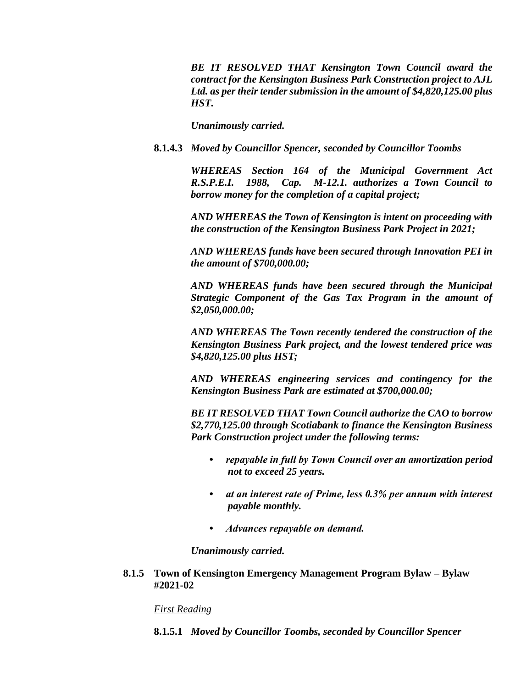*BE IT RESOLVED THAT Kensington Town Council award the contract for the Kensington Business Park Construction project to AJL Ltd. as per their tender submission in the amount of \$4,820,125.00 plus HST.*

*Unanimously carried.*

**8.1.4.3** *Moved by Councillor Spencer, seconded by Councillor Toombs*

*WHEREAS Section 164 of the Municipal Government Act R.S.P.E.I. 1988, Cap. M-12.1. authorizes a Town Council to borrow money for the completion of a capital project;*

*AND WHEREAS the Town of Kensington is intent on proceeding with the construction of the Kensington Business Park Project in 2021;*

*AND WHEREAS funds have been secured through Innovation PEI in the amount of \$700,000.00;*

*AND WHEREAS funds have been secured through the Municipal Strategic Component of the Gas Tax Program in the amount of \$2,050,000.00;*

*AND WHEREAS The Town recently tendered the construction of the Kensington Business Park project, and the lowest tendered price was \$4,820,125.00 plus HST;*

*AND WHEREAS engineering services and contingency for the Kensington Business Park are estimated at \$700,000.00;*

*BE IT RESOLVED THAT Town Council authorize the CAO to borrow \$2,770,125.00 through Scotiabank to finance the Kensington Business Park Construction project under the following terms:*

- *repayable in full by Town Council over an amortization period not to exceed 25 years.*
- *at an interest rate of Prime, less 0.3% per annum with interest payable monthly.*
- *Advances repayable on demand.*

*Unanimously carried.* 

**8.1.5 Town of Kensington Emergency Management Program Bylaw – Bylaw #2021-02**

*First Reading*

**8.1.5.1** *Moved by Councillor Toombs, seconded by Councillor Spencer*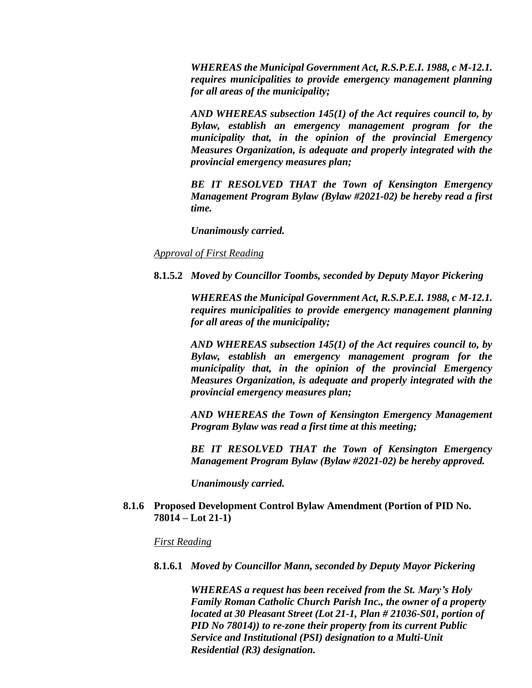*WHEREAS the Municipal Government Act, R.S.P.E.I. 1988, c M-12.1. requires municipalities to provide emergency management planning for all areas of the municipality;*

*AND WHEREAS subsection 145(1) of the Act requires council to, by Bylaw, establish an emergency management program for the municipality that, in the opinion of the provincial Emergency Measures Organization, is adequate and properly integrated with the provincial emergency measures plan;*

*BE IT RESOLVED THAT the Town of Kensington Emergency Management Program Bylaw (Bylaw #2021-02) be hereby read a first time.*

*Unanimously carried.*

### *Approval of First Reading*

**8.1.5.2** *Moved by Councillor Toombs, seconded by Deputy Mayor Pickering*

*WHEREAS the Municipal Government Act, R.S.P.E.I. 1988, c M-12.1. requires municipalities to provide emergency management planning for all areas of the municipality;*

*AND WHEREAS subsection 145(1) of the Act requires council to, by Bylaw, establish an emergency management program for the municipality that, in the opinion of the provincial Emergency Measures Organization, is adequate and properly integrated with the provincial emergency measures plan;*

*AND WHEREAS the Town of Kensington Emergency Management Program Bylaw was read a first time at this meeting;*

*BE IT RESOLVED THAT the Town of Kensington Emergency Management Program Bylaw (Bylaw #2021-02) be hereby approved.*

*Unanimously carried.* 

#### **8.1.6 Proposed Development Control Bylaw Amendment (Portion of PID No. 78014 – Lot 21-1)**

#### *First Reading*

**8.1.6.1** *Moved by Councillor Mann, seconded by Deputy Mayor Pickering*

*WHEREAS a request has been received from the St. Mary's Holy Family Roman Catholic Church Parish Inc., the owner of a property located at 30 Pleasant Street (Lot 21-1, Plan # 21036-S01, portion of PID No 78014)) to re-zone their property from its current Public Service and Institutional (PSI) designation to a Multi-Unit Residential (R3) designation.*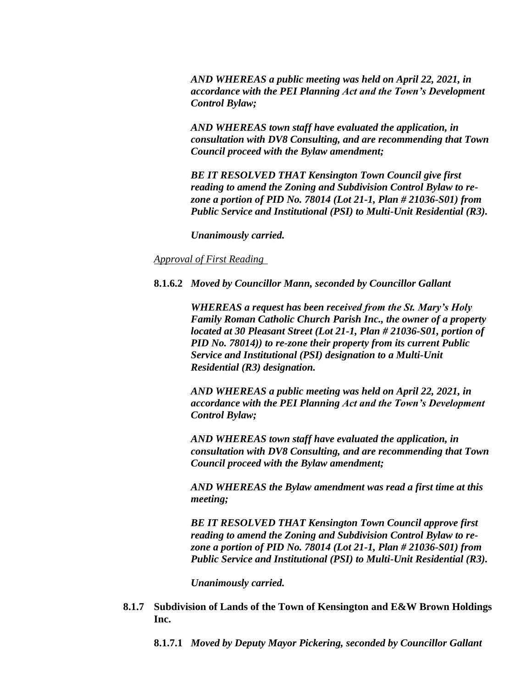*AND WHEREAS a public meeting was held on April 22, 2021, in accordance with the PEI Planning Act and the Town's Development Control Bylaw;*

*AND WHEREAS town staff have evaluated the application, in consultation with DV8 Consulting, and are recommending that Town Council proceed with the Bylaw amendment;*

*BE IT RESOLVED THAT Kensington Town Council give first reading to amend the Zoning and Subdivision Control Bylaw to rezone a portion of PID No. 78014 (Lot 21-1, Plan # 21036-S01) from Public Service and Institutional (PSI) to Multi-Unit Residential (R3).*

*Unanimously carried.*

*Approval of First Reading* 

**8.1.6.2** *Moved by Councillor Mann, seconded by Councillor Gallant*

*WHEREAS a request has been received from the St. Mary's Holy Family Roman Catholic Church Parish Inc., the owner of a property located at 30 Pleasant Street (Lot 21-1, Plan # 21036-S01, portion of PID No. 78014)) to re-zone their property from its current Public Service and Institutional (PSI) designation to a Multi-Unit Residential (R3) designation.*

*AND WHEREAS a public meeting was held on April 22, 2021, in accordance with the PEI Planning Act and the Town's Development Control Bylaw;*

*AND WHEREAS town staff have evaluated the application, in consultation with DV8 Consulting, and are recommending that Town Council proceed with the Bylaw amendment;*

*AND WHEREAS the Bylaw amendment was read a first time at this meeting;*

*BE IT RESOLVED THAT Kensington Town Council approve first reading to amend the Zoning and Subdivision Control Bylaw to rezone a portion of PID No. 78014 (Lot 21-1, Plan # 21036-S01) from Public Service and Institutional (PSI) to Multi-Unit Residential (R3).*

*Unanimously carried.* 

**8.1.7 Subdivision of Lands of the Town of Kensington and E&W Brown Holdings Inc.**

**8.1.7.1** *Moved by Deputy Mayor Pickering, seconded by Councillor Gallant*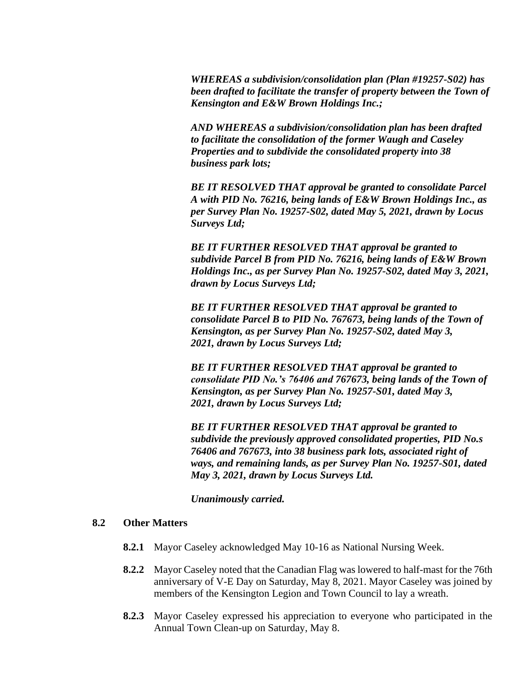*WHEREAS a subdivision/consolidation plan (Plan #19257-S02) has been drafted to facilitate the transfer of property between the Town of Kensington and E&W Brown Holdings Inc.;*

*AND WHEREAS a subdivision/consolidation plan has been drafted to facilitate the consolidation of the former Waugh and Caseley Properties and to subdivide the consolidated property into 38 business park lots;*

*BE IT RESOLVED THAT approval be granted to consolidate Parcel A with PID No. 76216, being lands of E&W Brown Holdings Inc., as per Survey Plan No. 19257-S02, dated May 5, 2021, drawn by Locus Surveys Ltd;*

*BE IT FURTHER RESOLVED THAT approval be granted to subdivide Parcel B from PID No. 76216, being lands of E&W Brown Holdings Inc., as per Survey Plan No. 19257-S02, dated May 3, 2021, drawn by Locus Surveys Ltd;*

*BE IT FURTHER RESOLVED THAT approval be granted to consolidate Parcel B to PID No. 767673, being lands of the Town of Kensington, as per Survey Plan No. 19257-S02, dated May 3, 2021, drawn by Locus Surveys Ltd;*

*BE IT FURTHER RESOLVED THAT approval be granted to consolidate PID No.'s 76406 and 767673, being lands of the Town of Kensington, as per Survey Plan No. 19257-S01, dated May 3, 2021, drawn by Locus Surveys Ltd;*

*BE IT FURTHER RESOLVED THAT approval be granted to subdivide the previously approved consolidated properties, PID No.s 76406 and 767673, into 38 business park lots, associated right of ways, and remaining lands, as per Survey Plan No. 19257-S01, dated May 3, 2021, drawn by Locus Surveys Ltd.*

*Unanimously carried.*

### **8.2 Other Matters**

- **8.2.1** Mayor Caseley acknowledged May 10-16 as National Nursing Week.
- **8.2.2** Mayor Caseley noted that the Canadian Flag was lowered to half-mast for the 76th anniversary of V-E Day on Saturday, May 8, 2021. Mayor Caseley was joined by members of the Kensington Legion and Town Council to lay a wreath.
- **8.2.3** Mayor Caseley expressed his appreciation to everyone who participated in the Annual Town Clean-up on Saturday, May 8.